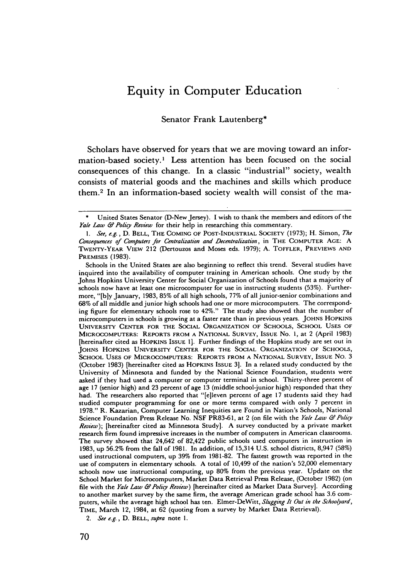#### Senator Frank Lautenberg\*

Scholars have observed for years that we are moving toward an information-based society.' Less attention has been focused on the social consequences of this change. In a classic "industrial" society, wealth consists of material goods and the machines and skills which produce them. 2 In an information-based society wealth will consist of the ma-

*2. See e.g.,* D. BELL, *supra* note **1.**

United States Senator (D-New Jersey). I wish to thank the members and editors of the *Yale Law & Policy Review* for their help in researching this commentary.

*<sup>1.</sup> See, e.g.,* D. BELL, THE COMING OF POST-INDUSTRIAL SOCIETY (1973); H. Simon, *The Consequences of Computers for Centralization and Decentralization,* in THE COMPUTER AGE: A TWENTY-YEAR VIEW 212 (Dertouzos and Moses eds. 1979); A. TOFFLER, PREVIEWS AND PREMISES (1983).

Schools in the United States are also beginning to reflect this trend. Several studies have inquired into the availability of computer training in American schools. One study by the Johns Hopkins University Center for Social Organization of Schools found that a majority of schools now have at least one microcomputer for use in instructing students (53%). Furthermore, "[bly January, 1983, 85% of all high schools, 77% of all junior-senior combinations and 68% of all middle and junior high schools had one or more microcomputers. The corresponding figure for elementary schools rose to 42%." The study also showed that the number of microcomputers in schools is growing at a faster rate than in previous years. JOHNS HOPKINS UNIVERSITY CENTER FOR THE SOCIAL ORGANIZATION OF SCHOOLS, SCHOOL USES OF MICROCOMPUTERS: REPORTS FROM A NATIONAL SURVEY, ISSUE No. 1, at 2 (April 1983) [hereinafter cited as HOPKINS ISSUE 1]. Further findings of the Hopkins study are set out in JOHNS HOPKINS UNIVERSITY CENTER FOR THE SOCIAL ORGANIZATION OF SCHOOLS, SCHOOL USES OF MICROCOMPUTERS: REPORTS FROM A NATIONAL SURVEY, ISSUE NO. 3 (October 1983) [hereinafter cited as HOPKINS ISSUE 3]. In a related study conducted by the University of Minnesota and funded by the National Science Foundation, students were asked if they had used a computer or computer terminal in school. Thirty-three percent of age 17 (senior high) and 23 percent of age 13 (middle school-junior high) responded that they had. The researchers also reported that "[e]leven percent of age 17 students said they had studied computer programming for one or more terms compared with only 7 percent in 1978." R. Kazarian, Computer Learning Inequities are Found in Nation's Schools, National Science Foundation Press Release No. NSF PR83-61, at 2 (on file with the *Yale Law & Policy Review);* [hereinafter cited as Minnesota Study]. A survey conducted by a private market research firm found impressive increases in the number of computers in American classrooms. The survey showed that 24,642 of 82,422 public schools used computers in instruction in 1983, up 56.2% from the fall of 1981. In addition, of 15,314 U.S. school districts, 8,947 (58%) used instructional computers, up 39% from 1981-82. The fastest growth was reported in the use of computers in elementary schools. A total of 10,499 of the nation's 52,000 elementary schools now use instructional computing, up 80% from the previous year. Update on the School Market for Microcomputers, Market Data Retrieval Press Release, (October 1982) (on file with the *Yale Law & Poliy Review)* [hereinafter cited as Market Data Survey]. According to another market survey by the same firm, the average American grade school has 3.6 computers, while the average high school has ten. Elmer-DeWitt, *Slugging It Out in the Schoolyard,* TIME, March 12, 1984, at 62 (quoting from a survey by Market Data Retrieval).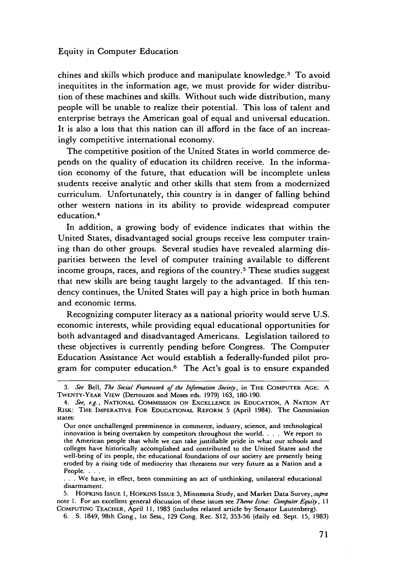chines and skills which produce and manipulate knowledge. 3 To avoid inequitites in the information age, we must provide for wider distribution of these machines and skills. Without such wide distribution, many people will be unable to realize their potential. This loss of talent and enterprise betrays the American goal of equal and universal education. It is also a loss that this nation can ill afford in the face of an increasingly competitive international economy.

The competitive position of the United States in world commerce depends on the quality of education its children receive. In the information economy of the future, that education will be incomplete unless students receive analytic and other skills that stem from a modernized curriculum. Unfortunately, this country is in danger of falling behind other western nations in its ability to provide widespread computer education.<sup>4</sup>

In addition, a growing body of evidence indicates that within the United States, disadvantaged social groups receive less computer training than do other groups. Several studies have revealed alarming disparities between the level of computer training available to different income groups, races, and regions of the country.<sup>5</sup> These studies suggest that new skills are being taught largely to the advantaged. If this tendency continues, the United States will pay a high price in both human and economic terms.

Recognizing computer literacy as a national priority would serve U.S. economic interests, while providing equal educational opportunities for both advantaged and disadvantaged Americans. Legislation tailored to these objectives is currently pending before Congress. The Computer Education Assistance Act would establish a federally-funded pilot program for computer education.<sup>6</sup> The Act's goal is to ensure expanded

*<sup>3.</sup>* See Bell, The Social *Framework of the Information Society,* in THE COMPUTER AGE: A TWENTY-YEAR VIEW (Dertouzos and Moses eds. 1979) 163, 180-190.

<sup>4.</sup> *See, e.g.,* NATIONAL COMMISSION ON EXCELLENCE IN EDUCATION, A NATION AT RISK: THE IMPERATIVE FOR EDUCATIONAL REFORM 5 (April 1984). The Commission states:

Our once unchallenged preeminence in commerce, industry, science, and technological innovation is being overtaken by competitors throughout the world. . **.** . We report to the American people that while we can take justifiable pride in what our schools and colleges have historically accomplished and contributed to the United States and the well-being of its people, the educational foundations of our society are presently being eroded by a rising tide of mediocrity that threatens our very future as a Nation and a People. **...**

<sup>...</sup> We have, in effect, been committing an act of unthinking, unilateral educational disarmament.

<sup>5.</sup> HOPKINS ISSUE **1,** HOPKINS ISSUE 3, Minnesota Study, and Market Data Survey, *supra* note **1.** For an excellent general discussion of these issues see *Theme Issue. Computer Equity, 11* COMPUTING TEACHER, April **11,** 1983 (includes related article by Senator Lautenberg).

<sup>6.</sup> **S.** 1849, 98th Cong., **1st** Sess., **129** Cong. Rec. S12, 353-56 (daily ed. Sept. **15,** 1983)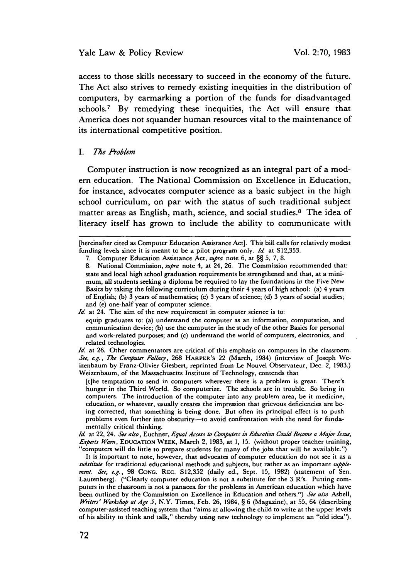access to those skills necessary to succeed in the economy of the future. The Act also strives to remedy existing inequities in the distribution of computers, by earmarking a portion of the funds for disadvantaged schools.<sup>7</sup> By remedying these inequities, the Act will ensure that America does not squander human resources vital to the maintenance of its international competitive position.

# *I. The Problem*

Computer instruction is now recognized as an integral part of a modern education. The National Commission on Excellence in Education, for instance, advocates computer science as a basic subject in the high school curriculum, on par with the status of such traditional subject matter areas as English, math, science, and social studies.<sup>8</sup> The idea of literacy itself has grown to include the ability to communicate with

*Id.* at 24. The aim of the new requirement in computer science is to:

equip graduates to: (a) understand the computer as an information, computation, and communication device; (b) use the computer in the study of the other Basics for personal and work-related purposes; and (c) understand the world of computers, electronics, and related technologies.

*Id.* at 26. Other commentators are critical of this emphasis on computers in the classroom. *See, e.g., The Computer Fallacy,* 268 HARPER'S 22 (March, 1984) (interview of Joseph Weizenbaum by Franz-Olivier Giesbert, reprinted from Le Nouvel Observateur, Dec. 2, 1983.) Weizenbaum, of the Massachusetts Institute of Technology, contends that

[t]he temptation to send in computers wherever there is a problem is great. There's hunger in the Third World. So computerize. The schools are in trouble. So bring in computers. The introduction of the computer into any problem area, be it medicine, education, or whatever, usually creates the impression that grievous deficiencies are being corrected, that something is being done. But often its principal effect is to push problems even further into obscurity-to avoid confrontation with the need for fundamentally critical thinking.

*Id* at 22, 24. *See also,* Euchner, *Equal Access to Computers in Education Could Become a Major Issue, Experts Warn,* **EDUCATION** WEEK, March 2, 1983, at 1, 15. (without proper teacher training, "computers will do little to prepare students for many of the jobs that will be available.")

It is important to note, however, that advocates of computer education do not see it as a *substitute* for traditional educational methods and subjects, but rather as an important *supplement. See, e.g.,* 98 **CONG.** REc. S12,352 (daily ed., Sept. 15, 1982) (statement of Sen. Lautenberg). ("Clearly computer education is not a substitute for the 3 R's. Putting computers in the classroom is not a panacea for the problems in American education which have been outlined by the Commission on Excellence in Education and others.") *See also* Asbell, *Writers' Workshop at Age 5,* N.Y. Times, Feb. 26, 1984, § 6 (Magazine), at 55, 64 (describing computer-assisted teaching system that "aims at allowing the child to write at the upper levels of his ability to think and talk," thereby using new technology to implement an "old idea").

<sup>[</sup>hereinafter cited as Computer Education Assistance Act]. This bill calls for relatively modest funding levels since it is meant to be a pilot program only. *Id* at S12,353.

**<sup>7.</sup>** Computer Education Assistance Act, *supra* note 6, at §§ 5, 7, **8.**

<sup>8.</sup> National Commission, *supra* note 4, at 24, 26. The Commission recommended that: state and local high school graduation requirements be strengthened and that, at a minimum, all students seeking a diploma be required to lay the foundations in the Five New Basics by taking the following curriculum during their 4 years of high school: (a) 4 years of English; (b) 3 years of mathematics; (c) 3 years of science; (d) 3 years of social studies; and (e) one-half year of computer science.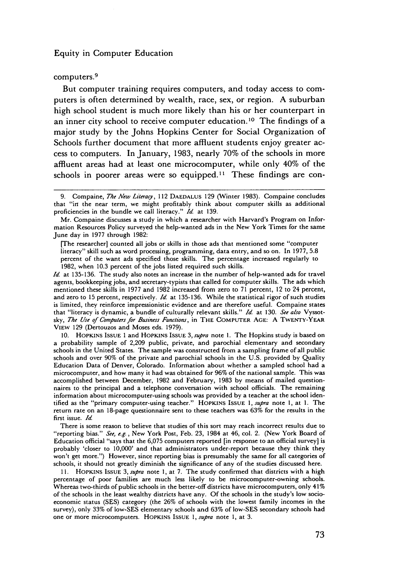# computers. <sup>9</sup>

But computer training requires computers, and today access to **com**puters is often determined **by** wealth, race, sex, or region. **A** suburban high school student is much more likely than his or her counterpart in an inner city school to receive computer education.10 The findings of a major study **by** the Johns Hopkins Center for Social Organization of Schools further document that more affluent students enjoy greater access to computers. In January, **1983,** nearly **70%** of the schools in more affluent areas had at least one microcomputer, while only 40% of the schools in poorer areas were so **equipped."** These findings are con-

[The researcher] counted all jobs or skills in those ads that mentioned some "computer literacy" skill such as word processing, programming, data entry, and so on. In 1977, 5.8 percent of the want ads specified those skills. The percentage increased regularly to 1982, when 10.3 percent of the jobs listed required such skills.

*Id.* at 135-136. The study also notes an increase in the number of help-wanted ads for travel agents, bookkeeping jobs, and secretary-typists that called for computer skills. The ads which mentioned these skills in 1977 and 1982 increased from zero to 71 percent, 12 to 24 percent, and zero to 15 percent, respectively. *Id.* at 135-136. While the statistical rigor of such studies is limited, they reinforce impressionistic evidence and are therefore useful. Compaine states that "literacy is dynamic, a bundle of culturally relevant skills." *Id* at 130. *See also* Vyssotsky, *The Use of Computers for Business Functions,* in THE COMPUTER **AGE:** A TWENTY-YEAR VIEW 129 (Dertouzos and Moses eds. 1979).

10. HOPKINS ISSUE **I** and **HOPKINS** ISSUE *3,supra* note 1. The Hopkins study is based on a probability sample of 2,209 public, private, and parochial elementary and secondary schools in the United States. The sample was constructed from a sampling frame of all public schools and over 90% of the private and parochial schools in the U.S. provided by Quality Education Data of Denver, Colorado. Information about whether a sampled school had a microcomputer, and how many it had was obtained for 96% of the national sample. This was accomplished between December, 1982 and February, 1983 by means of mailed questionnaires to the principal and a telephone conversation with school officials. The remaining information about microcomputer-using schools was provided by a teacher at the school identified as the "primary computer-using teacher." HOPKINS ISSUE 1, *supra* note 1, at 1. The return rate on an 18-page questionnaire sent to these teachers was **63%** for the results in the first issue. *Id.*

There is some reason to believe that studies of this sort may reach incorrect results due to "reporting bias." *See, e.g.,* New York Post, Feb. 23, 1984 at 46, col. 2. (New York Board of Education official "says that the 6,075 computers reported [in response to an official survey] is probably 'closer to 10,000' and that administrators under-report because they think they won't get more.") However, since reporting bias is presumably the same for all categories of schools, it should not greatly diminish the significance of any of the studies discussed here.

11. HOPKINS ISSUE 3, *supra* note **1,** at **7.** The study confirmed that districts with a high percentage of poor families are much less likely to be microcomputer-owning schools. Whereas two-thirds of public schools in the better-off districts have microcomputers, only 41% of the schools in the least wealthy districts have any. Of the schools in the study's low socioeconomic status (SES) category (the 26% of schools with the lowest family incomes in the survey), only 33% of low-SES elementary schools and 63% of low-SES secondary schools had one or more microcomputers. HOPKINS ISSUE *1, supra* note 1, at 3.

<sup>9.</sup> Compaine, *The New Literacy,* 112 DAEDALUS 129 (Winter 1983). Compaine concludes that "in the near term, we might profitably think about computer skills as additional proficiencies in the bundle we call literacy." *Id.* at 139.

Mr. Compaine discusses a study in which a researcher with Harvard's Program on Information Resources Policy surveyed the help-wanted ads in the New York Times for the same June day in 1977 through 1982: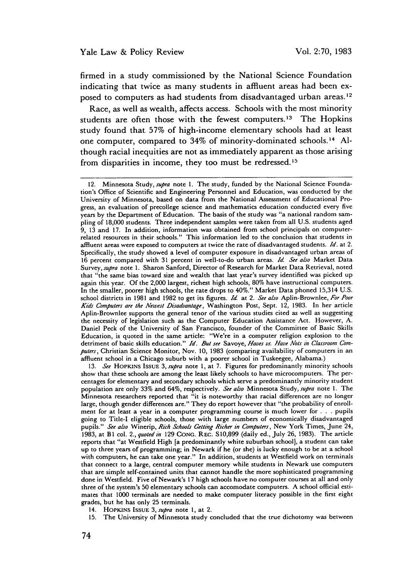firmed in a study commissioned by the National Science Foundation indicating that twice as many students in affluent areas had been exposed to computers as had students from disadvantaged urban areas.<sup>12</sup>

Race, as well as wealth, affects access. Schools with the most minority students are often those with the fewest computers.<sup>13</sup> The Hopkins study found that. 57% of high-income elementary schools had at least one computer, compared to 34% of minority-dominated schools.14 Although racial inequities are not as immediately apparent as those arising from disparities in income, they too must be redressed.15

13. *See* HOPKINS ISSUE 3, *supra* note 1, at 7. Figures for predominantly minority schools show that these schools are among the least likely schools to have microcomputers. The percentages for elementary and secondary schools which serve a predominantly minority student population are only 33% and 64%, respectively. *See also* Minnesota Study, *supra* note **1.** The Minnesota researchers reported that "it is noteworthy that racial differences are no longer large, though gender differences are." They do report however that "the probability of enrollment for at least a year in a computer programming course is much lower for . . . pupils going to Title-I eligible schools, those with large numbers of economically disadvantaged pupils." *See also* Winerip, *Rich Schools Getting Richer in Computers,* New York Times, June 24, 1983, at **BI** col. 2., *quoted in* 129 CONG. REC. S10,899 (daily ed., July 26, 1983). The article reports that "at Westfield High [a predominantly white suburban school], a student can take up to three years of programming; in Newark if he (or she) is lucky enough to be at a school with computers, he can take one year." In addition, students at Westfield work on terminals that connect to a large, central computer memory while students in Newark use computers that are simple self-contained units that cannot handle the more sophisticated programming done in Westfield. Five of Newark's 17 high schools have no computer courses at all and only three of the system's 50 elementary schools can accomodate computers. A school official estimates that 1000 terminals are needed to make computer literacy possible in the first eight grades, but he has only 25 terminals.

<sup>12.</sup> Minnesota Study, supra note 1. The study, funded by the National Science Foundation's Office of Scientific and Engineering Personnel and Education, was conducted by the University of Minnesota, based on data from the National Assessment of Educational Progress, an evaluation of precollege science and mathematics education conducted every five years by the Department of Education. The basis of the study was "a national random sampling of 18,000 students. Three independent samples were taken from all U.S. students aged 9, 13 and 17. In addition, information was obtained from school principals on computerrelated resources in their schools." This information led to the conclusion that students in affluent areas were exposed to computers at twice the rate of disadvantaged students. *Id.* at 2. Specifically, the study showed a level of computer exposure in disadvantaged urban areas of 16 percent compared with 31 percent in well-to-do urban areas. *Id. See also* Market Data Survey, *supra* note 1. Sharon Sanford, Director of Research for Market Data Retrieval, noted that "the same bias toward size and wealth that last year's survey identified was picked up again this year. Of the 2,000 largest, richest high schools, 80% have instructional computers. In the smaller, poorer high schools, the rate drops to 40%." Market Data phoned 15,314 U.S. school districts in 1981 and 1982 to get its figures. *Id* at 2. *See also* Aplin-Brownlee, *For Poor Kids Computers are the Newest Disadvantage,* Washington Post, Sept. 12, 1983. In her article Aplin-Brownlee supports the general tenor of the various studies cited as well as suggesting the necessity of legislation such as the Computer Education Assistance Act. However, A. Daniel Peck of the University of San Francisco, founder of the Committee of Basic Skills Education, is quoted in the same article: "We're in a computer religion explosion to the detriment of basic skills education." *Id. But see* Savoye, *Haves vs. Have Nots in Classroom Computers,* Christian Science Monitor, Nov. 10, 1983 (comparing availability of computers in an affluent school in a Chicago suburb with a poorer school in Tuskeegee, Alabama.)

<sup>14.</sup> HOPKINS ISSUE 3, *supra* note 1, at 2.

<sup>15.</sup> The University of Minnesota study concluded that the true dichotomy was between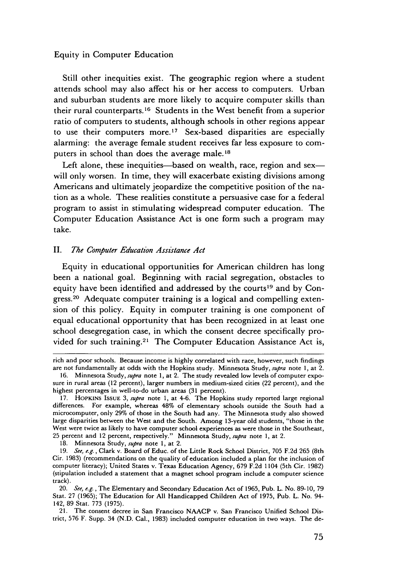Still other inequities exist. The geographic region where a student attends school may also affect his or her access to computers. Urban and suburban students are more likely to acquire computer skills than their rural counterparts.<sup>16</sup> Students in the West benefit from a superior ratio of computers to students, although schools in other regions appear to use their computers more.<sup>17</sup> Sex-based disparities are especially alarming: the average female student receives far less exposure to **com**puters in school than does the average male.<sup>18</sup>

Left alone, these inequities-based on wealth, race, region and sexwill only worsen. In time, they will exacerbate existing divisions among Americans and ultimately jeopardize the competitive position of the nation as a whole. These realities constitute a persuasive case for a federal program to assist in stimulating widespread computer education. The Computer Education Assistance Act is one form such a program may take.

#### **II.** *The Computer Education Assistance Act*

Equity in educational opportunities for American children has long been a national goal. Beginning with racial segregation, obstacles to equity have been identified and addressed by the courts<sup>19</sup> and by Congress.20 Adequate computer training is a logical and compelling extension of this policy. Equity in computer training is one component of equal educational opportunity that has been recognized in at least one school desegregation case, in which the consent decree specifically provided for such training.2' The Computer Education Assistance Act is,

**18.** Minnesota Study, *supra* note **1,** at 2.

rich and poor schools. Because income is **highly** correlated with race, however, such findings are not fundamentally at odds with the Hopkins study. Minnesota Study, *supra* note **1,** at 2.

**<sup>16.</sup>** Minnesota Study, *supra* note **1,** at 2. The study revealed low levels of computer exposure in rural areas (12 percent), larger numbers in medium-sized cities (22 percent), and the highest percentages in well-to-do urban areas **(31** percent).

**<sup>17.</sup> HOPKINS** ISSUE **3,** *supra* note **1,** at 4-6. The Hopkins study reported large regional differences. For example, whereas 48% of elementary schools outside the South had a microcomputer, only **29%** of those in the South had any. The Minnesota study also showed large disparities between the West and the South. Among 13-year old students, "those in the West were twice as likely to have computer school experiences as were those in the Southeast, **25** percent and 12 percent, respectively." Minnesota Study, *supra* note **1,** at 2.

**<sup>19.</sup>** *See, e.g.,* Clark v. Board of Educ. of the Little Rock School District, **705 F.2d 265** (8th Cir. **1983)** (recommendations on the quality of education included a plan for the inclusion of computer literacy); United States v. Texas Education Agency, **679 F.2d** 1104 (5th Cir. **1982)** (stipulation included a statement that a magnet school program include a computer science track).

<sup>20.</sup> *See, e.g.,* The Elementary and Secondary Education Act of **1965,** Pub. L. No. **89-10, 79** Stat. **27 (1965);** The Education for **All** Handicapped Children Act of **1975,** Pub. L. No. 94- 142, **89** Stat. **773 (1975).**

<sup>21.</sup> The consent decree in San Francisco **NAACP** v. San Francisco Unified School District, **576** F. Supp. 34 **(N.D.** Cal., **1983)** included computer education in two ways. The **de-**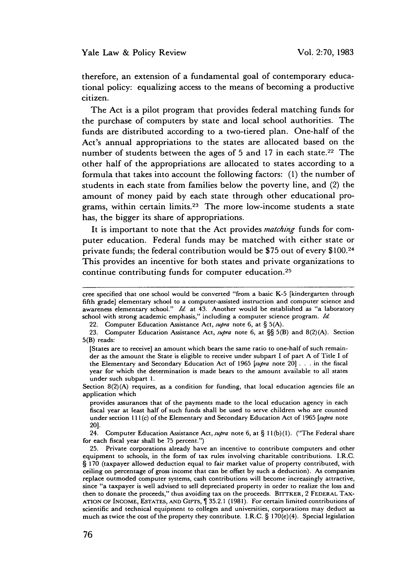therefore, an extension of a fundamental goal of contemporary educational policy: equalizing access to the means of becoming a productive citizen.

The Act is a pilot program that provides federal matching funds for the purchase of computers by state and local school authorities. The funds are distributed according to a two-tiered plan. One-half of the Act's annual appropriations to the states are allocated based on the number of students between the ages of 5 and 17 in each state.<sup>22</sup> The other half of the appropriations are allocated to states according to a formula that takes into account the following factors: (1) the number of students in each state from families below the poverty line, and (2) the amount of money paid by each state through other educational programs, within certain limits.<sup>23</sup> The more low-income students a state has, the bigger its share of appropriations.

It is important to note that the Act provides *matching* funds for computer education. Federal funds may be matched with either state or private funds; the federal contribution would be \$75 out of every \$100.24 This provides an incentive for both states and private organizations to continue contributing funds for computer education.<sup>25</sup>

[States are to receive] an amount which bears the same ratio to one-half of such remainder as the amount the State is eligible to receive under subpart I of part A of Title I of the Elementary and Secondary Education Act of 1965 *[supra* note 20] . . . in the fiscal year for which the determination is made bears to the amount available to all states under such subpart 1.

provides assurances that of the payments made to the local education agency in each fiscal year at least half of such funds shall be used to serve children who are counted under section 111 (c) of the Elementary and Secondary Education Act of 1965 *[supra* note 20].

24. Computer Education Assistance Act, *supra* note 6, at § **11(b) (1).** ("The Federal share for each fiscal year shall be 75 percent.")

25. Private corporations already have an incentive to contribute computers and other equipment to schools, in the form of tax rules involving charitable contributions. I.R.C. § 170 (taxpayer allowed deduction equal to fair market value of property contributed, with ceiling on percentage of gross income that can be offset by such a deduction). As companies replace outmoded computer systems, cash contributions will become increasingly attractive, since "a taxpayer is well advised to sell depreciated property in order to realize the loss and then to donate the proceeds," thus avoiding tax on the proceeds. BITTKER, 2 FEDERAL TAX-ATION OF INCOME, ESTATES, AND GIFTS, <sup>1</sup>35.2.1 (1981). For certain limited contributions of scientific and technical equipment to colleges and universities, corporations may deduct as much as twice the cost of the property they contribute. I.R.C.  $\S 170(e)(4)$ . Special legislation

cree specified that one school would be converted "from a basic K-5 [kindergarten through fifth grade] elementary school to a computer-assisted instruction and computer science and awareness elementary school." *Id.* at 43. Another would be established as "a laboratory school with strong academic emphasis," including a computer science program. *Id.*

<sup>22.</sup> Computer Education Assistance Act, *supra* note 6, at § 5(A).

**<sup>23.</sup>** Computer Education Assistance Act, *supra* note 6, at §§ 5(B) and 8(2)(A). Section 5(B) reads:

Section  $8(2)(A)$  requires, as a condition for funding, that local education agencies file an application which